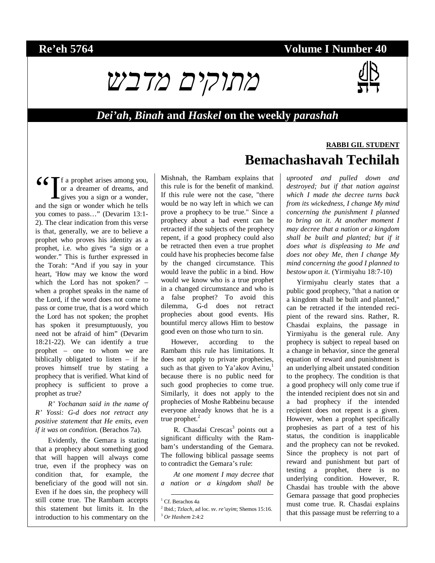# **Re'eh 5764 Volume I Number 40**



### *Dei'ah***,** *Binah* **and** *Haskel* **on the weekly** *parashah*

66 If a prophet arises among you,<br>
or a dreamer of dreams, and<br>
gives you a sign or a wonder,<br>
and the sign or wonder which he tells or a dreamer of dreams, and  $\blacktriangle$  gives you a sign or a wonder, and the sign or wonder which he tells you comes to pass…" (Devarim 13:1- 2). The clear indication from this verse is that, generally, we are to believe a prophet who proves his identity as a prophet, i.e. who gives "a sign or a wonder." This is further expressed in the Torah: "And if you say in your heart, 'How may we know the word which the Lord has not spoken?' – when a prophet speaks in the name of the Lord, if the word does not come to pass or come true, that is a word which the Lord has not spoken; the prophet has spoken it presumptuously, you need not be afraid of him" (Devarim 18:21-22). We can identify a true prophet – one to whom we are biblically obligated to listen – if he proves himself true by stating a prophecy that is verified. What kind of prophecy is sufficient to prove a prophet as true?

*R' Yochanan said in the name of R' Yossi: G-d does not retract any positive statement that He emits, even if it was on condition.* (Berachos 7a).

Evidently, the Gemara is stating that a prophecy about something good that will happen will always come true, even if the prophecy was on condition that, for example, the beneficiary of the good will not sin. Even if he does sin, the prophecy will still come true. The Rambam accepts this statement but limits it. In the introduction to his commentary on the Mishnah, the Rambam explains that this rule is for the benefit of mankind. If this rule were not the case, "there would be no way left in which we can prove a prophecy to be true." Since a prophecy about a bad event can be retracted if the subjects of the prophecy repent, if a good prophecy could also be retracted then even a true prophet could have his prophecies become false by the changed circumstance. This would leave the public in a bind. How would we know who is a true prophet in a changed circumstance and who is a false prophet? To avoid this dilemma, G-d does not retract prophecies about good events. His bountiful mercy allows Him to bestow good even on those who turn to sin.

However, according to the Rambam this rule has limitations. It does not apply to private prophecies, such as that given to Ya'akov Avinu, $<sup>1</sup>$ </sup> because there is no public need for such good prophecies to come true. Similarly, it does not apply to the prophecies of Moshe Rabbeinu because everyone already knows that he is a true prophet. $2$ 

R. Chasdai Crescas<sup>3</sup> points out a significant difficulty with the Rambam's understanding of the Gemara. The following biblical passage seems to contradict the Gemara's rule:

*At one moment I may decree that a nation or a kingdom shall be* 

# **RABBI GIL STUDENT Bemachashavah Techilah**

*uprooted and pulled down and destroyed; but if that nation against which I made the decree turns back from its wickedness, I change My mind concerning the punishment I planned to bring on it. At another moment I may decree that a nation or a kingdom shall be built and planted; but if it does what is displeasing to Me and does not obey Me, then I change My mind concerning the good I planned to bestow upon it.* (Yirmiyahu 18:7-10)

Yirmiyahu clearly states that a public good prophecy, "that a nation or a kingdom shall be built and planted," can be retracted if the intended recipient of the reward sins. Rather, R. Chasdai explains, the passage in Yirmiyahu is the general rule. Any prophecy is subject to repeal based on a change in behavior, since the general equation of reward and punishment is an underlying albeit unstated condition to the prophecy. The condition is that a good prophecy will only come true if the intended recipient does not sin and a bad prophecy if the intended recipient does not repent is a given. However, when a prophet specifically prophesies as part of a test of his status, the condition is inapplicable and the prophecy can not be revoked. Since the prophecy is not part of reward and punishment but part of testing a prophet, there is no underlying condition. However, R. Chasdai has trouble with the above Gemara passage that good prophecies must come true. R. Chasdai explains that this passage must be referring to a

<sup>&</sup>lt;sup>1</sup> Cf. Berachos 4a

<sup>2</sup> Ibid.; *Tzlach*, ad loc. sv. *re'uyim*; Shemos 15:16. 3 *Or Hashem* 2:4:2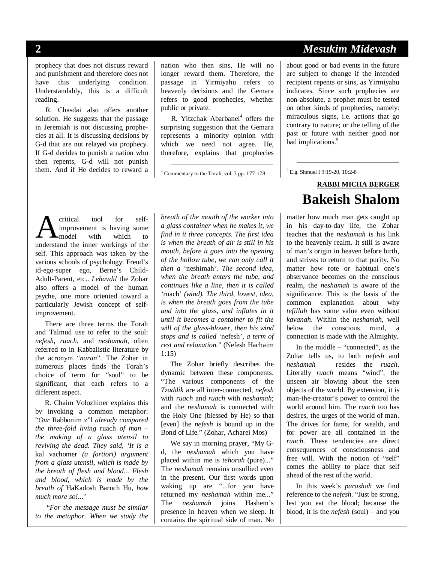prophecy that does not discuss reward and punishment and therefore does not have this underlying condition. Understandably, this is a difficult reading.

R. Chasdai also offers another solution. He suggests that the passage in Jeremiah is not discussing prophecies at all. It is discussing decisions by G-d that are not relayed via prophecy. If G-d decides to punish a nation who then repents, G-d will not punish them. And if He decides to reward a nation who then sins, He will no longer reward them. Therefore, the passage in Yirmiyahu refers to heavenly decisions and the Gemara refers to good prophecies, whether public or private.

R. Yitzchak Abarbanel<sup>4</sup> offers the surprising suggestion that the Gemara represents a minority opinion with which we need not agree. He, therefore, explains that prophecies

4 Commentary to the Torah, vol. 3 pp. 177-178

critical tool for selfimprovement is having some model with which to **A** critical tool for self-<br>improvement is having some<br>understand the inner workings of the self. This approach was taken by the various schools of psychology: Freud's id-ego-super ego, Berne's Child-Adult-Parent, etc.. *Lehavdil* the Zohar also offers a model of the human psyche, one more oriented toward a particularly Jewish concept of selfimprovement.

There are three terms the Torah and Talmud use to refer to the soul: *nefesh*, *ruach*, and *neshamah*, often referred to in Kabbalistic literature by the acronym "*naran*". The Zohar in numerous places finds the Torah's choice of term for "soul" to be significant, that each refers to a different aspect.

R. Chaim Volozhiner explains this by invoking a common metaphor: "*Our* Rabbonim z"l *already compared the three-fold living* ruach *of man – the making of a glass utensil to reviving the dead. They said, 'It is a*  kal vachomer *(a fortiori) argument from a glass utensil, which is made by the breath of flesh and blood... Flesh and blood, which is made by the breath of* HaKadosh Baruch Hu*, how much more so!...'* 

 "*For the message must be similar to the metaphor. When we study the* 

*breath of the mouth of the worker into a glass container when he makes it, we find in it three concepts. The first idea is when the breath of air is still in his mouth, before it goes into the opening of the hollow tube, we can only call it then a* 'neshimah*'. The second idea, when the breath enters the tube, and continues like a line, then it is called '*ruach' *(wind). The third, lowest, idea, is when the breath goes from the tube and into the glass, and inflates in it until it becomes a container to fit the will of the glass-blower, then his wind stops and is called* 'nefesh'*, a term of rest and relaxation.*" (Nefesh Hachaim 1:15)

The Zohar briefly describes the dynamic between these components. "The various components of the *Tzaddik* are all inter-connected, *nefesh*  with *ruach* and *ruach* with *neshamah*; and the *neshamah* is connected with the Holy One (blessed by He) so that [even] the *nefesh* is bound up in the Bond of Life." (Zohar, Acharei Mos)

We say in morning prayer, "My Gd, the *neshamah* which you have placed within me is *tehorah* (pure)..." The *neshamah* remains unsullied even in the present. Our first words upon waking up are "...for you have returned my *neshamah* within me..." The *neshamah* joins Hashem's presence in heaven when we sleep. It contains the spiritual side of man. No

# **2** *Mesukim Midevash*

about good or bad events in the future are subject to change if the intended recipient repents or sins, as Yirmiyahu indicates. Since such prophecies are non-absolute, a prophet must be tested on other kinds of prophecies, namely: miraculous signs, i.e. actions that go contrary to nature; or the telling of the past or future with neither good nor bad implications.<sup>5</sup>

5 E.g. Shmuel I 9:19-20, 10:2-8

# **RABBI MICHA BERGER Bakeish Shalom**

matter how much man gets caught up in his day-to-day life, the Zohar teaches that the *neshamah* is his link to the heavenly realm. It still is aware of man's origin in heaven before birth, and strives to return to that purity. No matter how rote or habitual one's observance becomes on the conscious realm, the *neshamah* is aware of the significance. This is the basis of the common explanation about why *tefillah* has some value even without *kavanah*. Within the *neshamah*, well below the conscious mind, a connection is made with the Almighty.

In the middle – "connected", as the Zohar tells us, to both *nefesh* and *neshamah* – resides the *ruach*. Literally *ruach* means "wind", the unseen air blowing about the seen objects of the world. By extension, it is man-the-creator's power to control the world around him. The *ruach* too has desires, the urges of the world of man. The drives for fame, for wealth, and for power are all contained in the *ruach*. These tendencies are direct consequences of consciousness and free will. With the notion of "self" comes the ability to place that self ahead of the rest of the world.

In this week's *parashah* we find reference to the *nefesh*. "Just be strong, lest you eat the blood; because the blood, it is the *nefesh* (soul) – and you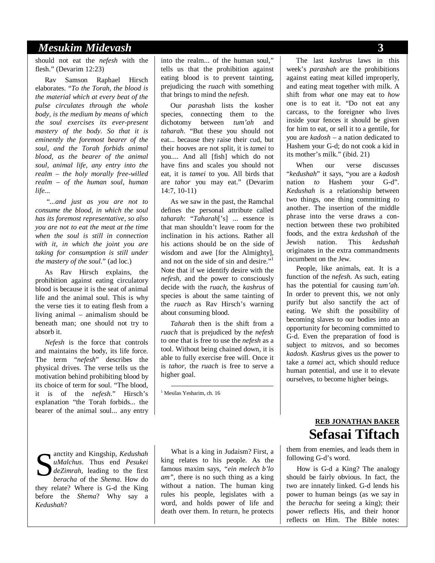### *Mesukim Midevash* **3**

should not eat the *nefesh* with the flesh." (Devarim 12:23)

Rav Samson Raphael Hirsch elaborates. "*To the Torah, the blood is the material which at every beat of the pulse circulates through the whole body, is the medium by means of which the soul exercises its ever-present mastery of the body. So that it is eminently the foremost bearer of the soul, and the Torah forbids animal blood, as the bearer of the animal soul, animal life, any entry into the realm – the holy morally free-willed realm – of the human soul, human life...* 

 "*...and just as you are not to consume the blood, in which the soul has its foremost representative, so also you are not to eat the meat at the time when the soul is still in connection with it, in which the joint you are taking for consumption is still under the mastery of the soul.*" (ad loc.)

As Rav Hirsch explains, the prohibition against eating circulatory blood is because it is the seat of animal life and the animal soul. This is why the verse ties it to eating flesh from a living animal – animalism should be beneath man; one should not try to absorb it.

*Nefesh* is the force that controls and maintains the body, its life force. The term "*nefesh*" describes the physical drives. The verse tells us the motivation behind prohibiting blood by its choice of term for soul. "The blood, it is of the *nefesh*." Hirsch's explanation "the Torah forbids... the bearer of the animal soul... any entry

anctity and Kingship, *Kedushah uMalchus*. Thus end *Pesukei deZimrah*, leading to the first *beracha* of the *Shema*. How do they relate? Where is G-d the King before the *Shema*? Why say a *Kedushah*? S

into the realm... of the human soul," tells us that the prohibition against eating blood is to prevent tainting, prejudicing the *ruach* with something that brings to mind the *nefesh*.

Our *parashah* lists the kosher species, connecting them to the dichotomy between *tum'ah* and *taharah*. "But these you should not eat... because they raise their cud, but their hooves are not split, it is *tamei* to you.... And all [fish] which do not have fins and scales you should not eat, it is *tamei* to you. All birds that are *tahor* you may eat." (Devarim 14:7, 10-11)

As we saw in the past, the Ramchal defines the personal attribute called *taharah*: "*Taharah*['s] ... essence is that man shouldn't leave room for the inclination in his actions. Rather all his actions should be on the side of wisdom and awe [for the Almighty], and not on the side of sin and desire."<sup>1</sup> Note that if we identify desire with the *nefesh*, and the power to consciously decide with the *ruach*, the *kashrus* of species is about the same tainting of the *ruach* as Rav Hirsch's warning about consuming blood.

*Taharah* then is the shift from a *ruach* that is prejudiced by the *nefesh* to one that is free to use the *nefesh* as a tool. Without being chained down, it is able to fully exercise free will. Once it is *tahor*, the *ruach* is free to serve a higher goal.

1 Mesilas Yesharim, ch. 16

What is a king in Judaism? First, a king relates to his people. As the famous maxim says, *"ein melech b'lo am",* there is no such thing as a king without a nation. The human king rules his people, legislates with a word, and holds power of life and death over them. In return, he protects

The last *kashrus* laws in this week's *parashah* are the prohibitions against eating meat killed improperly, and eating meat together with milk. A shift from *what* one may eat to *how* one is to eat it. "Do not eat any carcass, to the foreigner who lives inside your fences it should be given for him to eat, or sell it to a gentile, for you are *kadosh* – a nation dedicated to Hashem your G-d; do not cook a kid in its mother's milk." (ibid. 21)

When our verse discusses "*kedushah*" it says, "you are a *kadosh*  nation *to* Hashem your G-d". *Kedushah* is a relationship between two things, one thing committing *to*  another. The insertion of the middle phrase into the verse draws a connection between these two prohibited foods, and the extra *kedushah* of the Jewish nation. This *kedushah*  originates in the extra commandments incumbent on the Jew.

People, like animals, eat. It is a function of the *nefesh*. As such, eating has the potential for causing *tum'ah*. In order to prevent this, we not only purify but also sanctify the act of eating. We shift the possibility of becoming slaves to our bodies into an opportunity for becoming committed to G-d. Even the preparation of food is subject to *mitzvos*, and so becomes *kadosh*. *Kashrus* gives us the power to take a *tamei* act, which should reduce human potential, and use it to elevate ourselves, to become higher beings.

# **REB JONATHAN BAKER Sefasai Tiftach**

them from enemies, and leads them in following G-d's word.

How is G-d a King? The analogy should be fairly obvious. In fact, the two are innately linked. G-d lends his power to human beings (as we say in the *beracha* for seeing a king); their power reflects His, and their honor reflects on Him. The Bible notes: